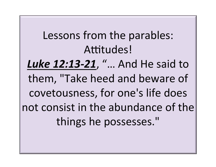Lessons from the parables: Attitudes! **Luke 12:13-21**, "... And He said to them, "Take heed and beware of covetousness, for one's life does not consist in the abundance of the things he possesses."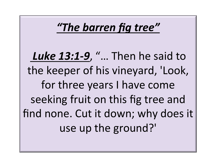## *"The barren fig tree"*

**Luke 13:1-9**, "... Then he said to the keeper of his vineyard, 'Look, for three years I have come seeking fruit on this fig tree and find none. Cut it down; why does it use up the ground?'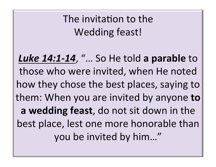The invitation to the Wedding feast!

**Luke 14:1-14, "... So He told a parable to** those who were invited, when He noted how they chose the best places, saying to them: When you are invited by anyone **to a** wedding feast, do not sit down in the best place, lest one more honorable than you be invited by him..."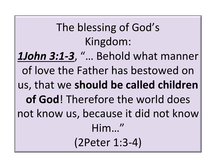The blessing of God's Kingdom: **1John 3:1-3**, "... Behold what manner of love the Father has bestowed on us, that we should be called children of God! Therefore the world does not know us, because it did not know Him…" (2Peter 1:3-4)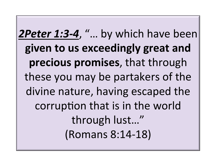**2Peter 1:3-4**, "... by which have been given to us exceedingly great and precious promises, that through these you may be partakers of the divine nature, having escaped the corruption that is in the world through lust..." (Romans 8:14-18)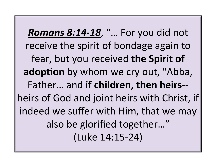*Romans 8:14-18, "... For you did not* receive the spirit of bondage again to fear, but you received the Spirit of adoption by whom we cry out, "Abba, Father... and if children, then heirs-heirs of God and joint heirs with Christ, if indeed we suffer with Him, that we may also be glorified together..." (Luke 14:15-24)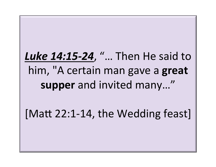## Luke 14:15-24, "... Then He said to him, "A certain man gave a great supper and invited many..."

[Matt 22:1-14, the Wedding feast]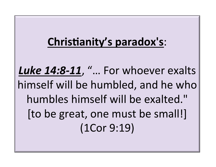## **Christianity's paradox's:**

Luke 14:8-11, "... For whoever exalts himself will be humbled, and he who humbles himself will be exalted." [to be great, one must be small!] (1Cor 9:19)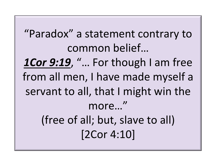"Paradox" a statement contrary to common belief... 1Cor 9:19, "... For though I am free from all men, I have made myself a servant to all, that I might win the more…" (free of all; but, slave to all) [2Cor 4:10]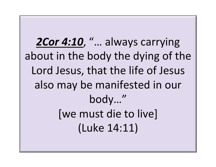2Cor 4:10, "... always carrying about in the body the dying of the Lord Jesus, that the life of Jesus also may be manifested in our body…" [we must die to live] (Luke 14:11)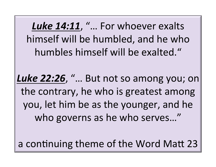Luke 14:11, "... For whoever exalts himself will be humbled, and he who humbles himself will be exalted."

Luke 22:26, "... But not so among you; on the contrary, he who is greatest among you, let him be as the younger, and he who governs as he who serves..."

a continuing theme of the Word Matt 23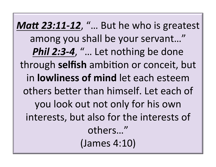*Matt 23:11-12,* "... But he who is greatest among you shall be your servant..." **Phil 2:3-4, "... Let nothing be done** through **selfish** ambition or conceit, but in **lowliness of mind** let each esteem others better than himself. Let each of you look out not only for his own interests, but also for the interests of others…"  $(James 4:10)$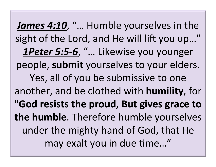**James 4:10, "... Humble yourselves in the** sight of the Lord, and He will lift you up..." 1Peter 5:5-6, "... Likewise you younger people, submit yourselves to your elders. Yes, all of you be submissive to one another, and be clothed with **humility**, for "**God resists the proud, But gives grace to the humble**. Therefore humble yourselves under the mighty hand of God, that He may exalt you in due time..."